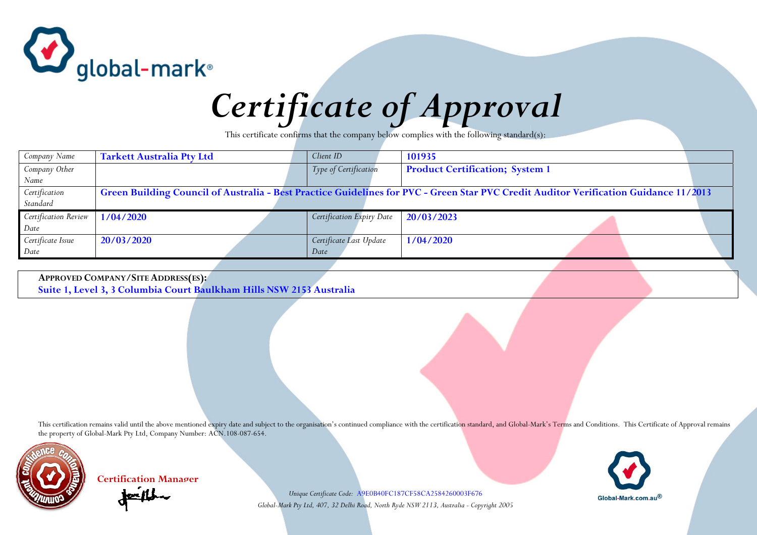

## *Certificate of Approval*

This certificate confirms that the company below complies with the following standard(s):

| Company Name         | <b>Tarkett Australia Pty Ltd</b> | Client ID                 | 101935                                                                                                                               |  |
|----------------------|----------------------------------|---------------------------|--------------------------------------------------------------------------------------------------------------------------------------|--|
| Company Other        |                                  | Type of Certification     | <b>Product Certification; System 1</b>                                                                                               |  |
| Name                 |                                  |                           |                                                                                                                                      |  |
| Certification        |                                  |                           | Green Building Council of Australia - Best Practice Guidelines for PVC - Green Star PVC Credit Auditor Verification Guidance 11/2013 |  |
| Standard             |                                  |                           |                                                                                                                                      |  |
| Certification Review | 1/04/2020                        | Certification Expiry Date | 20/03/2023                                                                                                                           |  |
| Date                 |                                  |                           |                                                                                                                                      |  |
| Certificate Issue    | 20/03/2020                       | Certificate Last Update   | 1/04/2020                                                                                                                            |  |
| Date                 |                                  | Date                      |                                                                                                                                      |  |
|                      |                                  |                           |                                                                                                                                      |  |

**APPROVED COMPANY/SITE ADDRESS(ES): Suite 1, Level 3, 3 Columbia Court Baulkham Hills NSW 2153 Australia**

This certification remains valid until the above mentioned expiry date and subject to the organisation's continued compliance with the certification standard, and Global-Mark's Terms and Conditions. This Certificate of App the property of Global-Mark Pty Ltd, Company Number: ACN.108-087-654.



**Certification Manager**

*Unique Certificate Code:* A9E0B40FC187CF58CA2584260003F676 *Global-Mark Pty Ltd, 407, 32 Delhi Road, North Ryde NSW 2113, Australia - Copyright 2005* 

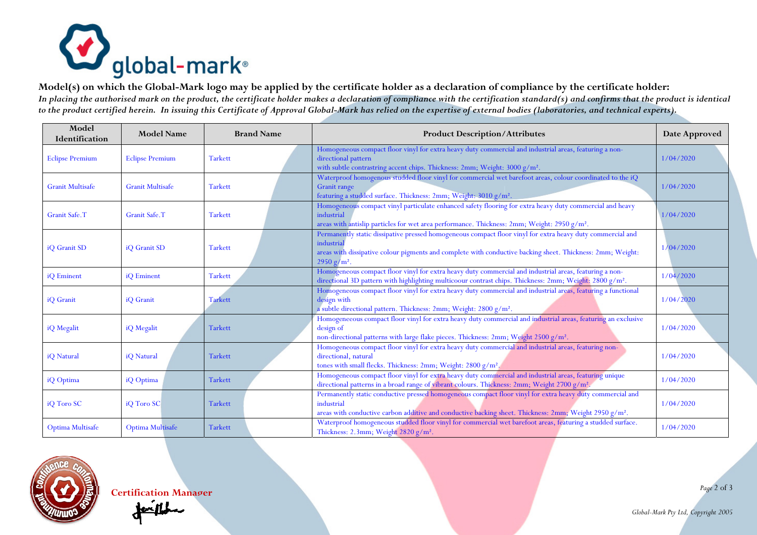

**Model(s) on which the Global-Mark logo may be applied by the certificate holder as a declaration of compliance by the certificate holder:**  *In placing the authorised mark on the product, the certificate holder makes a declaration of compliance with the certification standard(s) and confirms that the product is identical to the product certified herein. In issuing this Certificate of Approval Global-Mark has relied on the expertise of external bodies (laboratories, and technical experts).*

| Model<br>Identification | <b>Model Name</b>       | <b>Brand Name</b> | <b>Product Description/Attributes</b>                                                                                                                                                                                                                    | Date Approved |
|-------------------------|-------------------------|-------------------|----------------------------------------------------------------------------------------------------------------------------------------------------------------------------------------------------------------------------------------------------------|---------------|
| <b>Eclipse Premium</b>  | <b>Eclipse Premium</b>  | <b>Tarkett</b>    | Homogeneous compact floor vinyl for extra heavy duty commercial and industrial areas, featuring a non-<br>directional pattern<br>with subtle contrastring accent chips. Thickness: 2mm; Weight: 3000 g/m <sup>2</sup> .                                  | 1/04/2020     |
| <b>Granit Multisafe</b> | <b>Granit Multisafe</b> | <b>Tarkett</b>    | Waterproof homogenous studded floor vinyl for commercial wet barefoot areas, colour coordinated to the iQ<br>Granit range<br>featuring a studded surface. Thickness: 2mm; Weight: 3010 g/m <sup>2</sup> .                                                | 1/04/2020     |
| Granit Safe.T           | Granit Safe.T           | <b>Tarkett</b>    | Homogeneous compact vinyl particulate enhanced safety flooring for extra heavy duty commercial and heavy<br>industrial<br>areas with antislip particles for wet area performance. Thickness: 2mm; Weight: 2950 $g/m^2$ .                                 | 1/04/2020     |
| iQ Granit SD            | iQ Granit SD            | <b>Tarkett</b>    | Permanently static dissipative pressed homogeneous compact floor vinyl for extra heavy duty commercial and<br>industrial<br>areas with dissipative colour pigments and complete with conductive backing sheet. Thickness: 2mm; Weight:<br>$2950 g/m^2$ . | 1/04/2020     |
| iQ Eminent              | iQ Eminent              | <b>Tarkett</b>    | Homogeneous compact floor vinyl for extra heavy duty commercial and industrial areas, featuring a non-<br>directional 3D pattern with highlighting multicoour contrast chips. Thickness: 2mm; Weight: 2800 g/m <sup>2</sup> .                            | 1/04/2020     |
| iQ Granit               | iQ Granit               | <b>Tarkett</b>    | Homogeneous compact floor vinyl for extra heavy duty commercial and industrial areas, featuring a functional<br>design with<br>a subtle directional pattern. Thickness: 2mm; Weight: 2800 g/m <sup>2</sup> .                                             | 1/04/2020     |
| iQ Megalit              | iQ Megalit              | <b>Tarkett</b>    | Homogeneeous compact floor vinyl for extra heavy duty commercial and industrial areas, featuring an exclusive<br>design of<br>non-directional patterns with large flake pieces. Thickness: 2mm; Weight 2500 g/m <sup>2</sup> .                           | 1/04/2020     |
| iQ Natural              | iQ Natural              | <b>Tarkett</b>    | Homogeneous compact floor vinyl for extra heavy duty commercial and industrial areas, featuring non-<br>directional, natural<br>tones with small flecks. Thickness: 2mm; Weight: 2800 g/m <sup>2</sup> .                                                 | 1/04/2020     |
| iQ Optima               | iQ Optima               | <b>Tarkett</b>    | Homogeneous compact floor vinyl for extra heavy duty commercial and industrial areas, featuring unique<br>directional patterns in a broad range of vibrant colours. Thickness: 2mm; Weight 2700 g/m <sup>2</sup> .                                       | 1/04/2020     |
| iQ Toro SC              | iO Toro SC              | <b>Tarkett</b>    | Permanently static conductive pressed homogeneous compact floor vinyl for extra heavy duty commercial and<br>industrial<br>areas with conductive carbon additive and conductive backing sheet. Thickness: 2mm; Weight 2950 $g/m^2$ .                     | 1/04/2020     |
| Optima Multisafe        | Optima Multisafe        | <b>Tarkett</b>    | Waterproof homogeneous studded floor vinyl for commercial wet barefoot areas, featuring a studded surface.<br>Thickness: 2.3mm; Weight 2820 g/m <sup>2</sup> .                                                                                           | 1/04/2020     |



*Page* 2 of 3